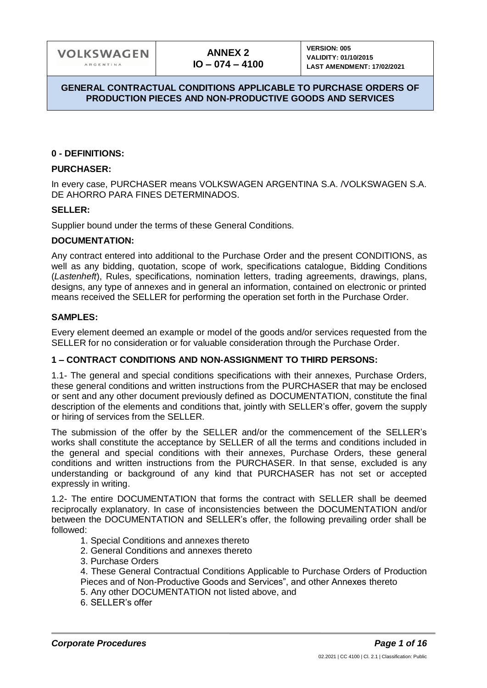### **0 - DEFINITIONS:**

### **PURCHASER:**

In every case, PURCHASER means VOLKSWAGEN ARGENTINA S.A. /VOLKSWAGEN S.A. DE AHORRO PARA FINES DETERMINADOS.

### **SELLER:**

Supplier bound under the terms of these General Conditions.

#### **DOCUMENTATION:**

Any contract entered into additional to the Purchase Order and the present CONDITIONS, as well as any bidding, quotation, scope of work, specifications catalogue, Bidding Conditions (*Lastenheft*), Rules, specifications, nomination letters, trading agreements, drawings, plans, designs, any type of annexes and in general an information, contained on electronic or printed means received the SELLER for performing the operation set forth in the Purchase Order.

### **SAMPLES:**

Every element deemed an example or model of the goods and/or services requested from the SELLER for no consideration or for valuable consideration through the Purchase Order.

### **1 – CONTRACT CONDITIONS AND NON-ASSIGNMENT TO THIRD PERSONS:**

1.1- The general and special conditions specifications with their annexes, Purchase Orders, these general conditions and written instructions from the PURCHASER that may be enclosed or sent and any other document previously defined as DOCUMENTATION, constitute the final description of the elements and conditions that, jointly with SELLER's offer, govern the supply or hiring of services from the SELLER.

The submission of the offer by the SELLER and/or the commencement of the SELLER's works shall constitute the acceptance by SELLER of all the terms and conditions included in the general and special conditions with their annexes, Purchase Orders, these general conditions and written instructions from the PURCHASER. In that sense, excluded is any understanding or background of any kind that PURCHASER has not set or accepted expressly in writing.

1.2- The entire DOCUMENTATION that forms the contract with SELLER shall be deemed reciprocally explanatory. In case of inconsistencies between the DOCUMENTATION and/or between the DOCUMENTATION and SELLER's offer, the following prevailing order shall be followed:

- 1. Special Conditions and annexes thereto
- 2. General Conditions and annexes thereto
- 3. Purchase Orders

4. These General Contractual Conditions Applicable to Purchase Orders of Production Pieces and of Non-Productive Goods and Services", and other Annexes thereto

- 5. Any other DOCUMENTATION not listed above, and
- 6. SELLER's offer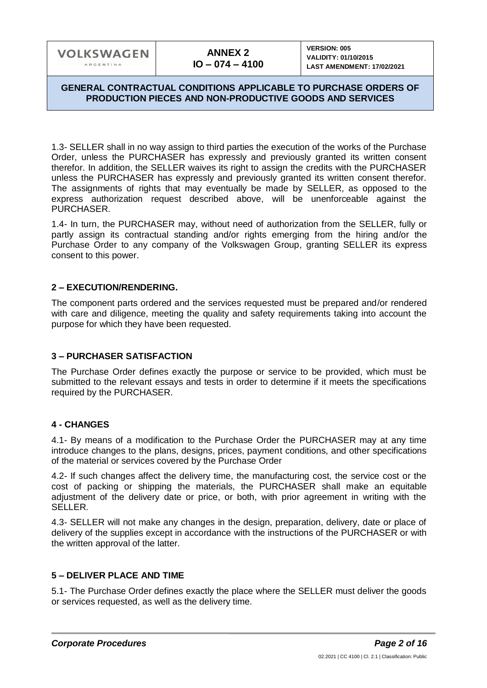### **GENERAL CONTRACTUAL CONDITIONS APPLICABLE TO PURCHASE ORDERS OF PRODUCTION PIECES AND NON-PRODUCTIVE GOODS AND SERVICES**

1.3- SELLER shall in no way assign to third parties the execution of the works of the Purchase Order, unless the PURCHASER has expressly and previously granted its written consent therefor. In addition, the SELLER waives its right to assign the credits with the PURCHASER unless the PURCHASER has expressly and previously granted its written consent therefor. The assignments of rights that may eventually be made by SELLER, as opposed to the express authorization request described above, will be unenforceable against the PURCHASER.

1.4- In turn, the PURCHASER may, without need of authorization from the SELLER, fully or partly assign its contractual standing and/or rights emerging from the hiring and/or the Purchase Order to any company of the Volkswagen Group, granting SELLER its express consent to this power.

### **2 – EXECUTION/RENDERING.**

The component parts ordered and the services requested must be prepared and/or rendered with care and diligence, meeting the quality and safety requirements taking into account the purpose for which they have been requested.

# **3 – PURCHASER SATISFACTION**

The Purchase Order defines exactly the purpose or service to be provided, which must be submitted to the relevant essays and tests in order to determine if it meets the specifications required by the PURCHASER.

# **4 - CHANGES**

4.1- By means of a modification to the Purchase Order the PURCHASER may at any time introduce changes to the plans, designs, prices, payment conditions, and other specifications of the material or services covered by the Purchase Order

4.2- If such changes affect the delivery time, the manufacturing cost, the service cost or the cost of packing or shipping the materials, the PURCHASER shall make an equitable adjustment of the delivery date or price, or both, with prior agreement in writing with the SELLER.

4.3- SELLER will not make any changes in the design, preparation, delivery, date or place of delivery of the supplies except in accordance with the instructions of the PURCHASER or with the written approval of the latter.

### **5 – DELIVER PLACE AND TIME**

5.1- The Purchase Order defines exactly the place where the SELLER must deliver the goods or services requested, as well as the delivery time.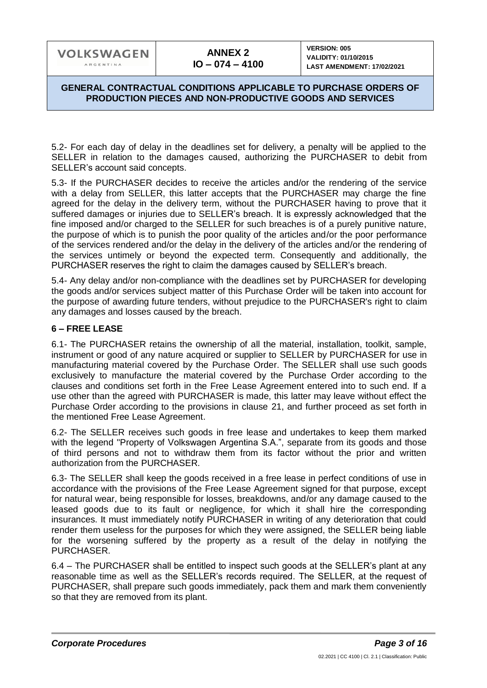### **GENERAL CONTRACTUAL CONDITIONS APPLICABLE TO PURCHASE ORDERS OF PRODUCTION PIECES AND NON-PRODUCTIVE GOODS AND SERVICES**

5.2- For each day of delay in the deadlines set for delivery, a penalty will be applied to the SELLER in relation to the damages caused, authorizing the PURCHASER to debit from SELLER's account said concepts.

5.3- If the PURCHASER decides to receive the articles and/or the rendering of the service with a delay from SELLER, this latter accepts that the PURCHASER may charge the fine agreed for the delay in the delivery term, without the PURCHASER having to prove that it suffered damages or injuries due to SELLER's breach. It is expressly acknowledged that the fine imposed and/or charged to the SELLER for such breaches is of a purely punitive nature, the purpose of which is to punish the poor quality of the articles and/or the poor performance of the services rendered and/or the delay in the delivery of the articles and/or the rendering of the services untimely or beyond the expected term. Consequently and additionally, the PURCHASER reserves the right to claim the damages caused by SELLER's breach.

5.4- Any delay and/or non-compliance with the deadlines set by PURCHASER for developing the goods and/or services subject matter of this Purchase Order will be taken into account for the purpose of awarding future tenders, without prejudice to the PURCHASER's right to claim any damages and losses caused by the breach.

# **6 – FREE LEASE**

6.1- The PURCHASER retains the ownership of all the material, installation, toolkit, sample, instrument or good of any nature acquired or supplier to SELLER by PURCHASER for use in manufacturing material covered by the Purchase Order. The SELLER shall use such goods exclusively to manufacture the material covered by the Purchase Order according to the clauses and conditions set forth in the Free Lease Agreement entered into to such end. If a use other than the agreed with PURCHASER is made, this latter may leave without effect the Purchase Order according to the provisions in clause 21, and further proceed as set forth in the mentioned Free Lease Agreement.

6.2- The SELLER receives such goods in free lease and undertakes to keep them marked with the legend "Property of Volkswagen Argentina S.A.", separate from its goods and those of third persons and not to withdraw them from its factor without the prior and written authorization from the PURCHASER.

6.3- The SELLER shall keep the goods received in a free lease in perfect conditions of use in accordance with the provisions of the Free Lease Agreement signed for that purpose, except for natural wear, being responsible for losses, breakdowns, and/or any damage caused to the leased goods due to its fault or negligence, for which it shall hire the corresponding insurances. It must immediately notify PURCHASER in writing of any deterioration that could render them useless for the purposes for which they were assigned, the SELLER being liable for the worsening suffered by the property as a result of the delay in notifying the PURCHASER.

6.4 – The PURCHASER shall be entitled to inspect such goods at the SELLER's plant at any reasonable time as well as the SELLER's records required. The SELLER, at the request of PURCHASER, shall prepare such goods immediately, pack them and mark them conveniently so that they are removed from its plant.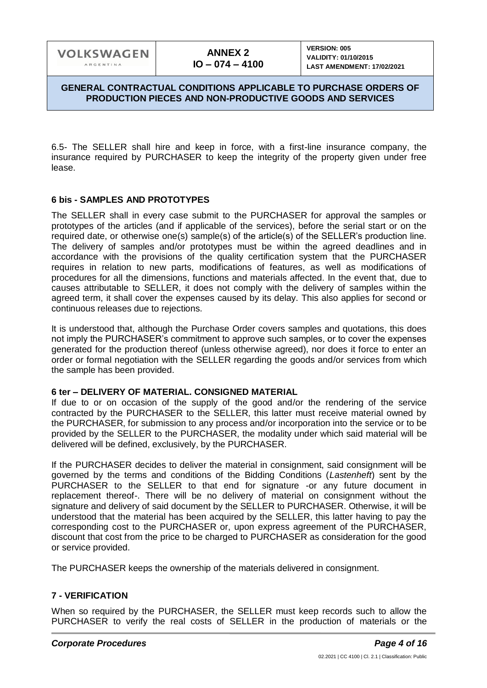### **GENERAL CONTRACTUAL CONDITIONS APPLICABLE TO PURCHASE ORDERS OF PRODUCTION PIECES AND NON-PRODUCTIVE GOODS AND SERVICES**

6.5- The SELLER shall hire and keep in force, with a first-line insurance company, the insurance required by PURCHASER to keep the integrity of the property given under free lease.

### **6 bis - SAMPLES AND PROTOTYPES**

The SELLER shall in every case submit to the PURCHASER for approval the samples or prototypes of the articles (and if applicable of the services), before the serial start or on the required date, or otherwise one(s) sample(s) of the article(s) of the SELLER's production line. The delivery of samples and/or prototypes must be within the agreed deadlines and in accordance with the provisions of the quality certification system that the PURCHASER requires in relation to new parts, modifications of features, as well as modifications of procedures for all the dimensions, functions and materials affected. In the event that, due to causes attributable to SELLER, it does not comply with the delivery of samples within the agreed term, it shall cover the expenses caused by its delay. This also applies for second or continuous releases due to rejections.

It is understood that, although the Purchase Order covers samples and quotations, this does not imply the PURCHASER's commitment to approve such samples, or to cover the expenses generated for the production thereof (unless otherwise agreed), nor does it force to enter an order or formal negotiation with the SELLER regarding the goods and/or services from which the sample has been provided.

### **6 ter – DELIVERY OF MATERIAL. CONSIGNED MATERIAL**

If due to or on occasion of the supply of the good and/or the rendering of the service contracted by the PURCHASER to the SELLER, this latter must receive material owned by the PURCHASER, for submission to any process and/or incorporation into the service or to be provided by the SELLER to the PURCHASER, the modality under which said material will be delivered will be defined, exclusively, by the PURCHASER.

If the PURCHASER decides to deliver the material in consignment, said consignment will be governed by the terms and conditions of the Bidding Conditions (*Lastenheft*) sent by the PURCHASER to the SELLER to that end for signature -or any future document in replacement thereof-. There will be no delivery of material on consignment without the signature and delivery of said document by the SELLER to PURCHASER. Otherwise, it will be understood that the material has been acquired by the SELLER, this latter having to pay the corresponding cost to the PURCHASER or, upon express agreement of the PURCHASER, discount that cost from the price to be charged to PURCHASER as consideration for the good or service provided.

The PURCHASER keeps the ownership of the materials delivered in consignment.

# **7 - VERIFICATION**

When so required by the PURCHASER, the SELLER must keep records such to allow the PURCHASER to verify the real costs of SELLER in the production of materials or the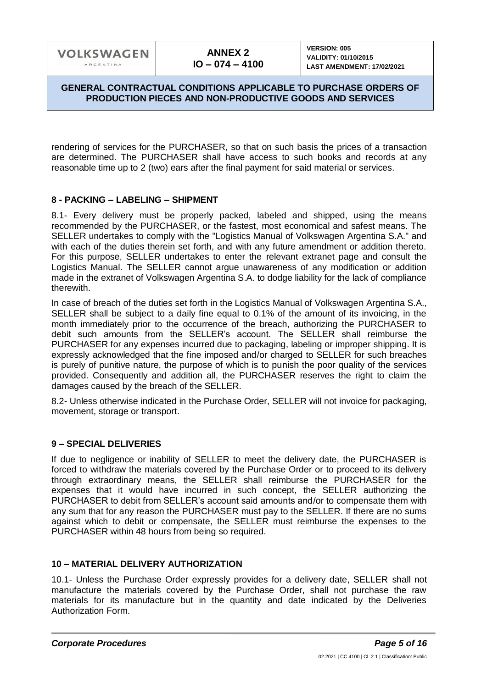### **GENERAL CONTRACTUAL CONDITIONS APPLICABLE TO PURCHASE ORDERS OF PRODUCTION PIECES AND NON-PRODUCTIVE GOODS AND SERVICES**

rendering of services for the PURCHASER, so that on such basis the prices of a transaction are determined. The PURCHASER shall have access to such books and records at any reasonable time up to 2 (two) ears after the final payment for said material or services.

### **8 - PACKING – LABELING – SHIPMENT**

8.1- Every delivery must be properly packed, labeled and shipped, using the means recommended by the PURCHASER, or the fastest, most economical and safest means. The SELLER undertakes to comply with the "Logistics Manual of Volkswagen Argentina S.A." and with each of the duties therein set forth, and with any future amendment or addition thereto. For this purpose, SELLER undertakes to enter the relevant extranet page and consult the Logistics Manual. The SELLER cannot argue unawareness of any modification or addition made in the extranet of Volkswagen Argentina S.A. to dodge liability for the lack of compliance therewith.

In case of breach of the duties set forth in the Logistics Manual of Volkswagen Argentina S.A., SELLER shall be subject to a daily fine equal to 0.1% of the amount of its invoicing, in the month immediately prior to the occurrence of the breach, authorizing the PURCHASER to debit such amounts from the SELLER's account. The SELLER shall reimburse the PURCHASER for any expenses incurred due to packaging, labeling or improper shipping. It is expressly acknowledged that the fine imposed and/or charged to SELLER for such breaches is purely of punitive nature, the purpose of which is to punish the poor quality of the services provided. Consequently and addition all, the PURCHASER reserves the right to claim the damages caused by the breach of the SELLER.

8.2- Unless otherwise indicated in the Purchase Order, SELLER will not invoice for packaging, movement, storage or transport.

### **9 – SPECIAL DELIVERIES**

If due to negligence or inability of SELLER to meet the delivery date, the PURCHASER is forced to withdraw the materials covered by the Purchase Order or to proceed to its delivery through extraordinary means, the SELLER shall reimburse the PURCHASER for the expenses that it would have incurred in such concept, the SELLER authorizing the PURCHASER to debit from SELLER's account said amounts and/or to compensate them with any sum that for any reason the PURCHASER must pay to the SELLER. If there are no sums against which to debit or compensate, the SELLER must reimburse the expenses to the PURCHASER within 48 hours from being so required.

### **10 – MATERIAL DELIVERY AUTHORIZATION**

10.1- Unless the Purchase Order expressly provides for a delivery date, SELLER shall not manufacture the materials covered by the Purchase Order, shall not purchase the raw materials for its manufacture but in the quantity and date indicated by the Deliveries Authorization Form.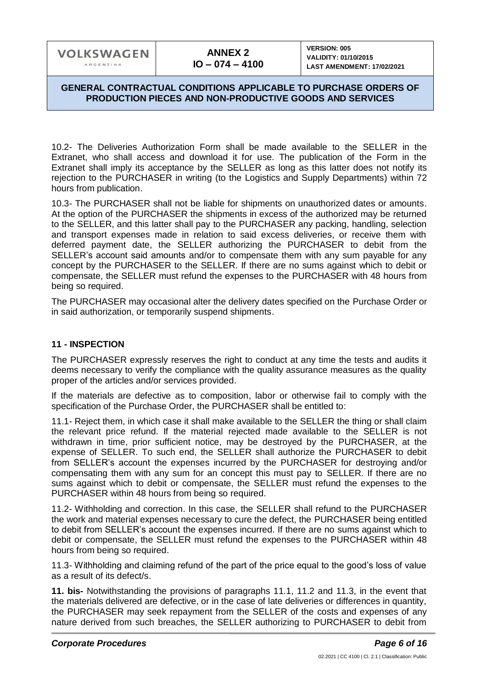### **GENERAL CONTRACTUAL CONDITIONS APPLICABLE TO PURCHASE ORDERS OF PRODUCTION PIECES AND NON-PRODUCTIVE GOODS AND SERVICES**

10.2- The Deliveries Authorization Form shall be made available to the SELLER in the Extranet, who shall access and download it for use. The publication of the Form in the Extranet shall imply its acceptance by the SELLER as long as this latter does not notify its rejection to the PURCHASER in writing (to the Logistics and Supply Departments) within 72 hours from publication.

10.3- The PURCHASER shall not be liable for shipments on unauthorized dates or amounts. At the option of the PURCHASER the shipments in excess of the authorized may be returned to the SELLER, and this latter shall pay to the PURCHASER any packing, handling, selection and transport expenses made in relation to said excess deliveries, or receive them with deferred payment date, the SELLER authorizing the PURCHASER to debit from the SELLER's account said amounts and/or to compensate them with any sum payable for any concept by the PURCHASER to the SELLER. If there are no sums against which to debit or compensate, the SELLER must refund the expenses to the PURCHASER with 48 hours from being so required.

The PURCHASER may occasional alter the delivery dates specified on the Purchase Order or in said authorization, or temporarily suspend shipments.

### **11 - INSPECTION**

The PURCHASER expressly reserves the right to conduct at any time the tests and audits it deems necessary to verify the compliance with the quality assurance measures as the quality proper of the articles and/or services provided.

If the materials are defective as to composition, labor or otherwise fail to comply with the specification of the Purchase Order, the PURCHASER shall be entitled to:

11.1- Reject them, in which case it shall make available to the SELLER the thing or shall claim the relevant price refund. If the material rejected made available to the SELLER is not withdrawn in time, prior sufficient notice, may be destroyed by the PURCHASER, at the expense of SELLER. To such end, the SELLER shall authorize the PURCHASER to debit from SELLER's account the expenses incurred by the PURCHASER for destroying and/or compensating them with any sum for an concept this must pay to SELLER. If there are no sums against which to debit or compensate, the SELLER must refund the expenses to the PURCHASER within 48 hours from being so required.

11.2- Withholding and correction. In this case, the SELLER shall refund to the PURCHASER the work and material expenses necessary to cure the defect, the PURCHASER being entitled to debit from SELLER's account the expenses incurred. If there are no sums against which to debit or compensate, the SELLER must refund the expenses to the PURCHASER within 48 hours from being so required.

11.3- Withholding and claiming refund of the part of the price equal to the good's loss of value as a result of its defect/s.

**11. bis-** Notwithstanding the provisions of paragraphs 11.1, 11.2 and 11.3, in the event that the materials delivered are defective, or in the case of late deliveries or differences in quantity, the PURCHASER may seek repayment from the SELLER of the costs and expenses of any nature derived from such breaches, the SELLER authorizing to PURCHASER to debit from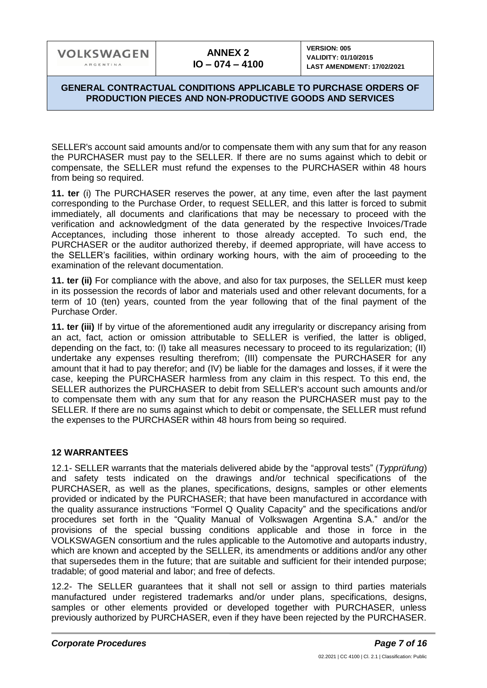### **GENERAL CONTRACTUAL CONDITIONS APPLICABLE TO PURCHASE ORDERS OF PRODUCTION PIECES AND NON-PRODUCTIVE GOODS AND SERVICES**

SELLER's account said amounts and/or to compensate them with any sum that for any reason the PURCHASER must pay to the SELLER. If there are no sums against which to debit or compensate, the SELLER must refund the expenses to the PURCHASER within 48 hours from being so required.

**11. ter** (i) The PURCHASER reserves the power, at any time, even after the last payment corresponding to the Purchase Order, to request SELLER, and this latter is forced to submit immediately, all documents and clarifications that may be necessary to proceed with the verification and acknowledgment of the data generated by the respective Invoices/Trade Acceptances, including those inherent to those already accepted. To such end, the PURCHASER or the auditor authorized thereby, if deemed appropriate, will have access to the SELLER's facilities, within ordinary working hours, with the aim of proceeding to the examination of the relevant documentation.

**11. ter (ii)** For compliance with the above, and also for tax purposes, the SELLER must keep in its possession the records of labor and materials used and other relevant documents, for a term of 10 (ten) years, counted from the year following that of the final payment of the Purchase Order.

**11. ter (iii)** If by virtue of the aforementioned audit any irregularity or discrepancy arising from an act, fact, action or omission attributable to SELLER is verified, the latter is obliged, depending on the fact, to: (I) take all measures necessary to proceed to its regularization; (II) undertake any expenses resulting therefrom; (III) compensate the PURCHASER for any amount that it had to pay therefor; and (IV) be liable for the damages and losses, if it were the case, keeping the PURCHASER harmless from any claim in this respect. To this end, the SELLER authorizes the PURCHASER to debit from SELLER's account such amounts and/or to compensate them with any sum that for any reason the PURCHASER must pay to the SELLER. If there are no sums against which to debit or compensate, the SELLER must refund the expenses to the PURCHASER within 48 hours from being so required.

### **12 WARRANTEES**

12.1- SELLER warrants that the materials delivered abide by the "approval tests" (*Typprüfung*) and safety tests indicated on the drawings and/or technical specifications of the PURCHASER, as well as the planes, specifications, designs, samples or other elements provided or indicated by the PURCHASER; that have been manufactured in accordance with the quality assurance instructions "Formel Q Quality Capacity" and the specifications and/or procedures set forth in the "Quality Manual of Volkswagen Argentina S.A." and/or the provisions of the special bussing conditions applicable and those in force in the VOLKSWAGEN consortium and the rules applicable to the Automotive and autoparts industry, which are known and accepted by the SELLER, its amendments or additions and/or any other that supersedes them in the future; that are suitable and sufficient for their intended purpose; tradable; of good material and labor; and free of defects.

12.2- The SELLER guarantees that it shall not sell or assign to third parties materials manufactured under registered trademarks and/or under plans, specifications, designs, samples or other elements provided or developed together with PURCHASER, unless previously authorized by PURCHASER, even if they have been rejected by the PURCHASER.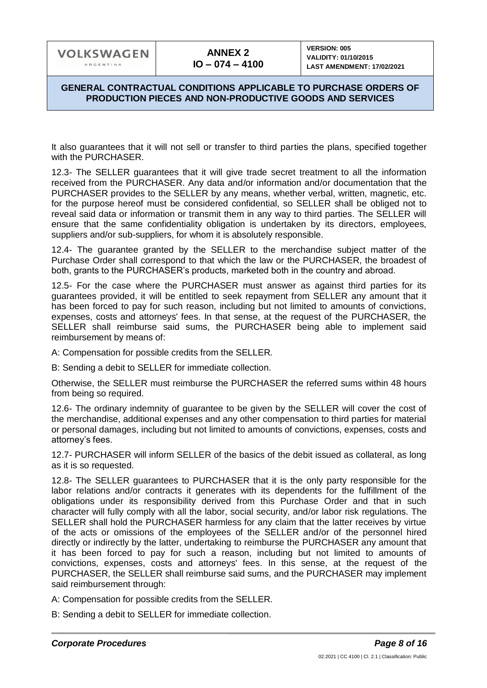### **GENERAL CONTRACTUAL CONDITIONS APPLICABLE TO PURCHASE ORDERS OF PRODUCTION PIECES AND NON-PRODUCTIVE GOODS AND SERVICES**

It also guarantees that it will not sell or transfer to third parties the plans, specified together with the PURCHASER.

12.3- The SELLER guarantees that it will give trade secret treatment to all the information received from the PURCHASER. Any data and/or information and/or documentation that the PURCHASER provides to the SELLER by any means, whether verbal, written, magnetic, etc. for the purpose hereof must be considered confidential, so SELLER shall be obliged not to reveal said data or information or transmit them in any way to third parties. The SELLER will ensure that the same confidentiality obligation is undertaken by its directors, employees, suppliers and/or sub-suppliers, for whom it is absolutely responsible.

12.4- The guarantee granted by the SELLER to the merchandise subject matter of the Purchase Order shall correspond to that which the law or the PURCHASER, the broadest of both, grants to the PURCHASER's products, marketed both in the country and abroad.

12.5- For the case where the PURCHASER must answer as against third parties for its guarantees provided, it will be entitled to seek repayment from SELLER any amount that it has been forced to pay for such reason, including but not limited to amounts of convictions, expenses, costs and attorneys' fees. In that sense, at the request of the PURCHASER, the SELLER shall reimburse said sums, the PURCHASER being able to implement said reimbursement by means of:

A: Compensation for possible credits from the SELLER.

B: Sending a debit to SELLER for immediate collection.

Otherwise, the SELLER must reimburse the PURCHASER the referred sums within 48 hours from being so required.

12.6- The ordinary indemnity of guarantee to be given by the SELLER will cover the cost of the merchandise, additional expenses and any other compensation to third parties for material or personal damages, including but not limited to amounts of convictions, expenses, costs and attorney's fees.

12.7- PURCHASER will inform SELLER of the basics of the debit issued as collateral, as long as it is so requested.

12.8- The SELLER guarantees to PURCHASER that it is the only party responsible for the labor relations and/or contracts it generates with its dependents for the fulfillment of the obligations under its responsibility derived from this Purchase Order and that in such character will fully comply with all the labor, social security, and/or labor risk regulations. The SELLER shall hold the PURCHASER harmless for any claim that the latter receives by virtue of the acts or omissions of the employees of the SELLER and/or of the personnel hired directly or indirectly by the latter, undertaking to reimburse the PURCHASER any amount that it has been forced to pay for such a reason, including but not limited to amounts of convictions, expenses, costs and attorneys' fees. In this sense, at the request of the PURCHASER, the SELLER shall reimburse said sums, and the PURCHASER may implement said reimbursement through:

A: Compensation for possible credits from the SELLER.

B: Sending a debit to SELLER for immediate collection.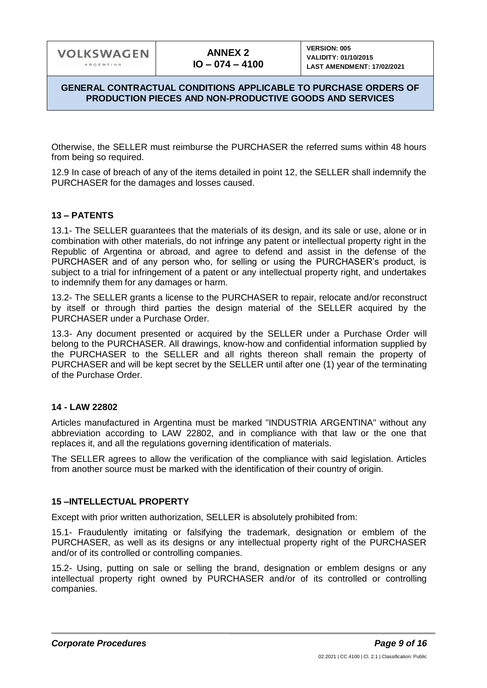### **GENERAL CONTRACTUAL CONDITIONS APPLICABLE TO PURCHASE ORDERS OF PRODUCTION PIECES AND NON-PRODUCTIVE GOODS AND SERVICES**

Otherwise, the SELLER must reimburse the PURCHASER the referred sums within 48 hours from being so required.

12.9 In case of breach of any of the items detailed in point 12, the SELLER shall indemnify the PURCHASER for the damages and losses caused.

### **13 – PATENTS**

13.1- The SELLER guarantees that the materials of its design, and its sale or use, alone or in combination with other materials, do not infringe any patent or intellectual property right in the Republic of Argentina or abroad, and agree to defend and assist in the defense of the PURCHASER and of any person who, for selling or using the PURCHASER's product, is subject to a trial for infringement of a patent or any intellectual property right, and undertakes to indemnify them for any damages or harm.

13.2- The SELLER grants a license to the PURCHASER to repair, relocate and/or reconstruct by itself or through third parties the design material of the SELLER acquired by the PURCHASER under a Purchase Order.

13.3- Any document presented or acquired by the SELLER under a Purchase Order will belong to the PURCHASER. All drawings, know-how and confidential information supplied by the PURCHASER to the SELLER and all rights thereon shall remain the property of PURCHASER and will be kept secret by the SELLER until after one (1) year of the terminating of the Purchase Order.

### **14 - LAW 22802**

Articles manufactured in Argentina must be marked "INDUSTRIA ARGENTINA" without any abbreviation according to LAW 22802, and in compliance with that law or the one that replaces it, and all the regulations governing identification of materials.

The SELLER agrees to allow the verification of the compliance with said legislation. Articles from another source must be marked with the identification of their country of origin.

### **15 –INTELLECTUAL PROPERTY**

Except with prior written authorization, SELLER is absolutely prohibited from:

15.1- Fraudulently imitating or falsifying the trademark, designation or emblem of the PURCHASER, as well as its designs or any intellectual property right of the PURCHASER and/or of its controlled or controlling companies.

15.2- Using, putting on sale or selling the brand, designation or emblem designs or any intellectual property right owned by PURCHASER and/or of its controlled or controlling companies.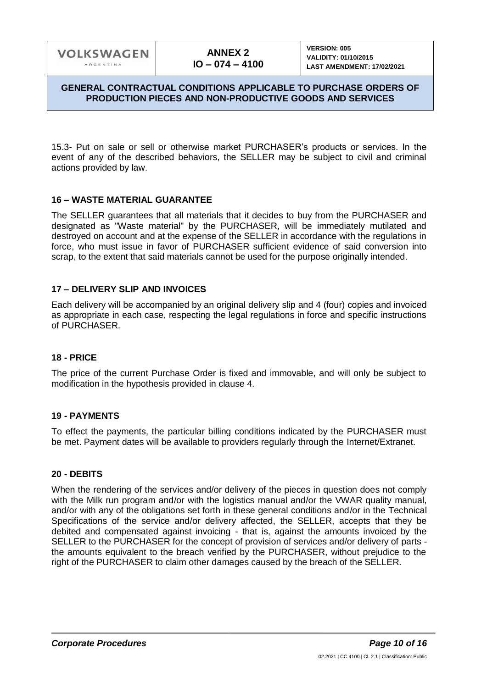15.3- Put on sale or sell or otherwise market PURCHASER's products or services. In the event of any of the described behaviors, the SELLER may be subject to civil and criminal actions provided by law.

### **16 – WASTE MATERIAL GUARANTEE**

The SELLER guarantees that all materials that it decides to buy from the PURCHASER and designated as "Waste material" by the PURCHASER, will be immediately mutilated and destroyed on account and at the expense of the SELLER in accordance with the regulations in force, who must issue in favor of PURCHASER sufficient evidence of said conversion into scrap, to the extent that said materials cannot be used for the purpose originally intended.

### **17 – DELIVERY SLIP AND INVOICES**

Each delivery will be accompanied by an original delivery slip and 4 (four) copies and invoiced as appropriate in each case, respecting the legal regulations in force and specific instructions of PURCHASER.

### **18 - PRICE**

The price of the current Purchase Order is fixed and immovable, and will only be subject to modification in the hypothesis provided in clause 4.

### **19 - PAYMENTS**

To effect the payments, the particular billing conditions indicated by the PURCHASER must be met. Payment dates will be available to providers regularly through the Internet/Extranet.

### **20 - DEBITS**

When the rendering of the services and/or delivery of the pieces in question does not comply with the Milk run program and/or with the logistics manual and/or the VWAR quality manual, and/or with any of the obligations set forth in these general conditions and/or in the Technical Specifications of the service and/or delivery affected, the SELLER, accepts that they be debited and compensated against invoicing - that is, against the amounts invoiced by the SELLER to the PURCHASER for the concept of provision of services and/or delivery of parts the amounts equivalent to the breach verified by the PURCHASER, without prejudice to the right of the PURCHASER to claim other damages caused by the breach of the SELLER.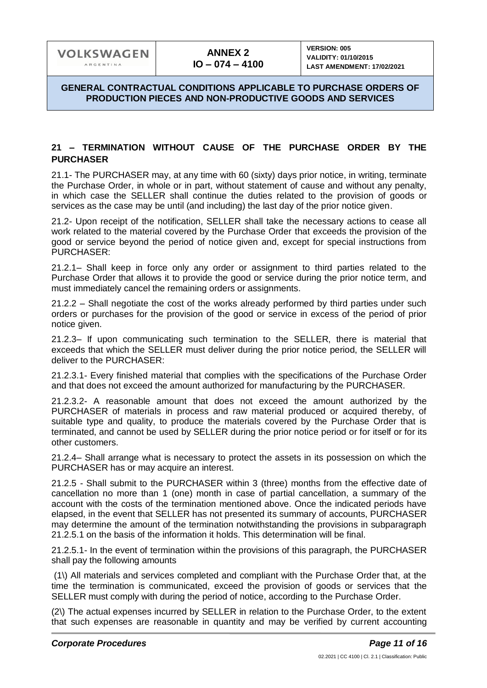### **21 – TERMINATION WITHOUT CAUSE OF THE PURCHASE ORDER BY THE PURCHASER**

21.1- The PURCHASER may, at any time with 60 (sixty) days prior notice, in writing, terminate the Purchase Order, in whole or in part, without statement of cause and without any penalty, in which case the SELLER shall continue the duties related to the provision of goods or services as the case may be until (and including) the last day of the prior notice given.

21.2- Upon receipt of the notification, SELLER shall take the necessary actions to cease all work related to the material covered by the Purchase Order that exceeds the provision of the good or service beyond the period of notice given and, except for special instructions from PURCHASER:

21.2.1– Shall keep in force only any order or assignment to third parties related to the Purchase Order that allows it to provide the good or service during the prior notice term, and must immediately cancel the remaining orders or assignments.

21.2.2 – Shall negotiate the cost of the works already performed by third parties under such orders or purchases for the provision of the good or service in excess of the period of prior notice given.

21.2.3– If upon communicating such termination to the SELLER, there is material that exceeds that which the SELLER must deliver during the prior notice period, the SELLER will deliver to the PURCHASER:

21.2.3.1- Every finished material that complies with the specifications of the Purchase Order and that does not exceed the amount authorized for manufacturing by the PURCHASER.

21.2.3.2- A reasonable amount that does not exceed the amount authorized by the PURCHASER of materials in process and raw material produced or acquired thereby, of suitable type and quality, to produce the materials covered by the Purchase Order that is terminated, and cannot be used by SELLER during the prior notice period or for itself or for its other customers.

21.2.4– Shall arrange what is necessary to protect the assets in its possession on which the PURCHASER has or may acquire an interest.

21.2.5 - Shall submit to the PURCHASER within 3 (three) months from the effective date of cancellation no more than 1 (one) month in case of partial cancellation, a summary of the account with the costs of the termination mentioned above. Once the indicated periods have elapsed, in the event that SELLER has not presented its summary of accounts, PURCHASER may determine the amount of the termination notwithstanding the provisions in subparagraph 21.2.5.1 on the basis of the information it holds. This determination will be final.

21.2.5.1- In the event of termination within the provisions of this paragraph, the PURCHASER shall pay the following amounts

(1\) All materials and services completed and compliant with the Purchase Order that, at the time the termination is communicated, exceed the provision of goods or services that the SELLER must comply with during the period of notice, according to the Purchase Order.

(2\) The actual expenses incurred by SELLER in relation to the Purchase Order, to the extent that such expenses are reasonable in quantity and may be verified by current accounting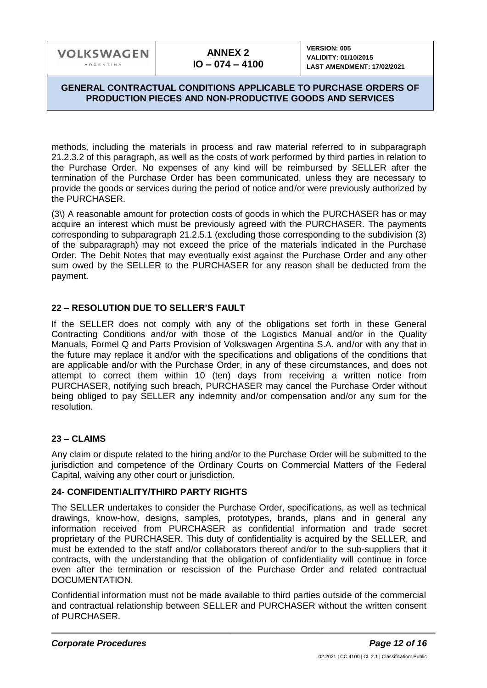### **GENERAL CONTRACTUAL CONDITIONS APPLICABLE TO PURCHASE ORDERS OF PRODUCTION PIECES AND NON-PRODUCTIVE GOODS AND SERVICES**

methods, including the materials in process and raw material referred to in subparagraph 21.2.3.2 of this paragraph, as well as the costs of work performed by third parties in relation to the Purchase Order. No expenses of any kind will be reimbursed by SELLER after the termination of the Purchase Order has been communicated, unless they are necessary to provide the goods or services during the period of notice and/or were previously authorized by the PURCHASER.

(3\) A reasonable amount for protection costs of goods in which the PURCHASER has or may acquire an interest which must be previously agreed with the PURCHASER. The payments corresponding to subparagraph 21.2.5.1 (excluding those corresponding to the subdivision (3) of the subparagraph) may not exceed the price of the materials indicated in the Purchase Order. The Debit Notes that may eventually exist against the Purchase Order and any other sum owed by the SELLER to the PURCHASER for any reason shall be deducted from the payment.

# **22 – RESOLUTION DUE TO SELLER'S FAULT**

If the SELLER does not comply with any of the obligations set forth in these General Contracting Conditions and/or with those of the Logistics Manual and/or in the Quality Manuals, Formel Q and Parts Provision of Volkswagen Argentina S.A. and/or with any that in the future may replace it and/or with the specifications and obligations of the conditions that are applicable and/or with the Purchase Order, in any of these circumstances, and does not attempt to correct them within 10 (ten) days from receiving a written notice from PURCHASER, notifying such breach, PURCHASER may cancel the Purchase Order without being obliged to pay SELLER any indemnity and/or compensation and/or any sum for the resolution.

### **23 – CLAIMS**

Any claim or dispute related to the hiring and/or to the Purchase Order will be submitted to the jurisdiction and competence of the Ordinary Courts on Commercial Matters of the Federal Capital, waiving any other court or jurisdiction.

### **24- CONFIDENTIALITY/THIRD PARTY RIGHTS**

The SELLER undertakes to consider the Purchase Order, specifications, as well as technical drawings, know-how, designs, samples, prototypes, brands, plans and in general any information received from PURCHASER as confidential information and trade secret proprietary of the PURCHASER. This duty of confidentiality is acquired by the SELLER, and must be extended to the staff and/or collaborators thereof and/or to the sub-suppliers that it contracts, with the understanding that the obligation of confidentiality will continue in force even after the termination or rescission of the Purchase Order and related contractual DOCUMENTATION.

Confidential information must not be made available to third parties outside of the commercial and contractual relationship between SELLER and PURCHASER without the written consent of PURCHASER.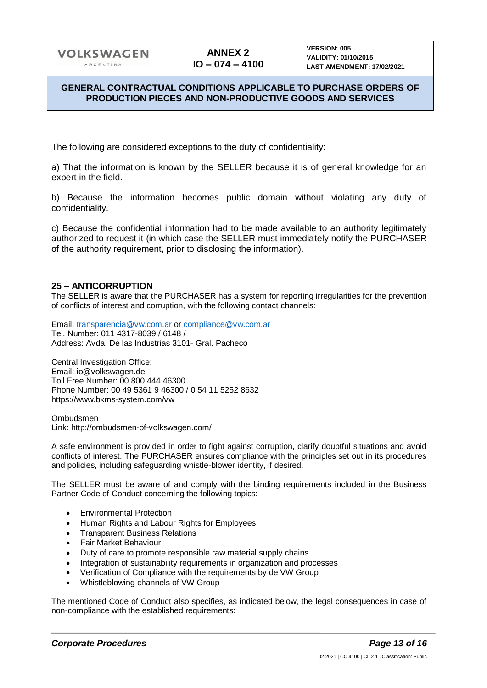### **GENERAL CONTRACTUAL CONDITIONS APPLICABLE TO PURCHASE ORDERS OF PRODUCTION PIECES AND NON-PRODUCTIVE GOODS AND SERVICES**

The following are considered exceptions to the duty of confidentiality:

a) That the information is known by the SELLER because it is of general knowledge for an expert in the field.

b) Because the information becomes public domain without violating any duty of confidentiality.

c) Because the confidential information had to be made available to an authority legitimately authorized to request it (in which case the SELLER must immediately notify the PURCHASER of the authority requirement, prior to disclosing the information).

### **25 – ANTICORRUPTION**

The SELLER is aware that the PURCHASER has a system for reporting irregularities for the prevention of conflicts of interest and corruption, with the following contact channels:

Email: [transparencia@vw.com.ar](mailto:transparencia@vw.com.ar) or [compliance@vw.com.ar](mailto:compliance@vw.com.ar) Tel. Number: 011 4317-8039 / 6148 / Address: Avda. De las Industrias 3101- Gral. Pacheco

Central Investigation Office: Email: io@volkswagen.de Toll Free Number: 00 800 444 46300 Phone Number: 00 49 5361 9 46300 / 0 54 11 5252 8632 https://www.bkms-system.com/vw

Ombudsmen Link: http://ombudsmen-of-volkswagen.com/

A safe environment is provided in order to fight against corruption, clarify doubtful situations and avoid conflicts of interest. The PURCHASER ensures compliance with the principles set out in its procedures and policies, including safeguarding whistle-blower identity, if desired.

The SELLER must be aware of and comply with the binding requirements included in the Business Partner Code of Conduct concerning the following topics:

- Environmental Protection
- Human Rights and Labour Rights for Employees
- Transparent Business Relations
- Fair Market Behaviour
- Duty of care to promote responsible raw material supply chains
- Integration of sustainability requirements in organization and processes
- Verification of Compliance with the requirements by de VW Group
- Whistleblowing channels of VW Group

The mentioned Code of Conduct also specifies, as indicated below, the legal consequences in case of non-compliance with the established requirements: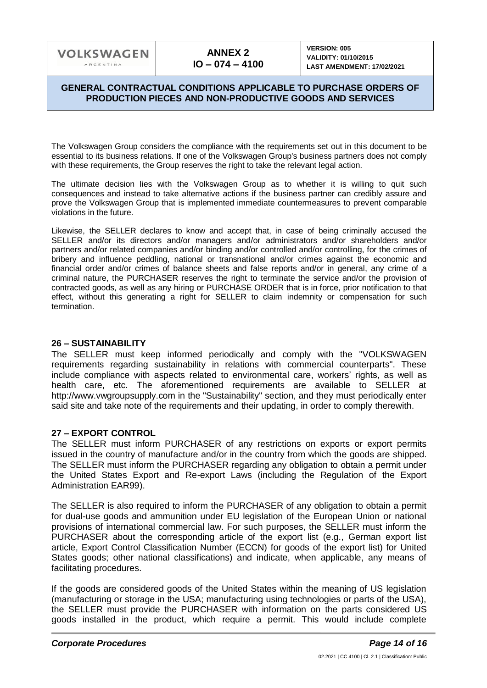**VERSION: 005 VALIDITY: 01/10/2015 LAST AMENDMENT: 17/02/2021**

### **GENERAL CONTRACTUAL CONDITIONS APPLICABLE TO PURCHASE ORDERS OF PRODUCTION PIECES AND NON-PRODUCTIVE GOODS AND SERVICES**

The Volkswagen Group considers the compliance with the requirements set out in this document to be essential to its business relations. If one of the Volkswagen Group's business partners does not comply with these requirements, the Group reserves the right to take the relevant legal action.

The ultimate decision lies with the Volkswagen Group as to whether it is willing to quit such consequences and instead to take alternative actions if the business partner can credibly assure and prove the Volkswagen Group that is implemented immediate countermeasures to prevent comparable violations in the future.

Likewise, the SELLER declares to know and accept that, in case of being criminally accused the SELLER and/or its directors and/or managers and/or administrators and/or shareholders and/or partners and/or related companies and/or binding and/or controlled and/or controlling, for the crimes of bribery and influence peddling, national or transnational and/or crimes against the economic and financial order and/or crimes of balance sheets and false reports and/or in general, any crime of a criminal nature, the PURCHASER reserves the right to terminate the service and/or the provision of contracted goods, as well as any hiring or PURCHASE ORDER that is in force, prior notification to that effect, without this generating a right for SELLER to claim indemnity or compensation for such termination.

#### **26 – SUSTAINABILITY**

The SELLER must keep informed periodically and comply with the "VOLKSWAGEN requirements regarding sustainability in relations with commercial counterparts". These include compliance with aspects related to environmental care, workers' rights, as well as health care, etc. The aforementioned requirements are available to SELLER at http://www.vwgroupsupply.com in the "Sustainability" section, and they must periodically enter said site and take note of the requirements and their updating, in order to comply therewith.

### **27 – EXPORT CONTROL**

The SELLER must inform PURCHASER of any restrictions on exports or export permits issued in the country of manufacture and/or in the country from which the goods are shipped. The SELLER must inform the PURCHASER regarding any obligation to obtain a permit under the United States Export and Re-export Laws (including the Regulation of the Export Administration EAR99).

The SELLER is also required to inform the PURCHASER of any obligation to obtain a permit for dual-use goods and ammunition under EU legislation of the European Union or national provisions of international commercial law. For such purposes, the SELLER must inform the PURCHASER about the corresponding article of the export list (e.g., German export list article, Export Control Classification Number (ECCN) for goods of the export list) for United States goods; other national classifications) and indicate, when applicable, any means of facilitating procedures.

If the goods are considered goods of the United States within the meaning of US legislation (manufacturing or storage in the USA; manufacturing using technologies or parts of the USA), the SELLER must provide the PURCHASER with information on the parts considered US goods installed in the product, which require a permit. This would include complete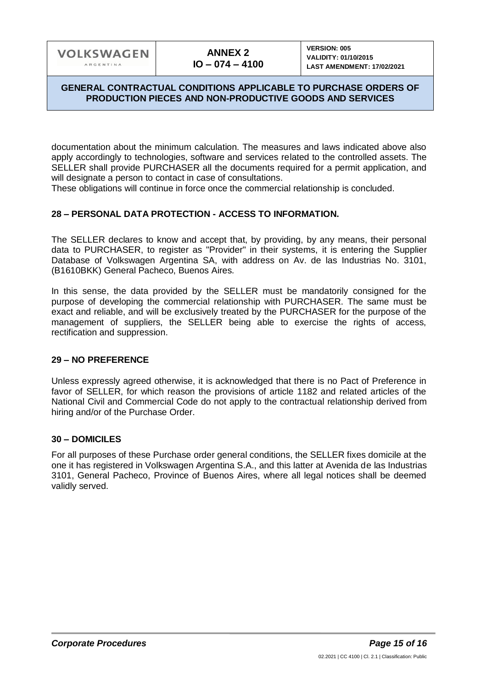### **GENERAL CONTRACTUAL CONDITIONS APPLICABLE TO PURCHASE ORDERS OF PRODUCTION PIECES AND NON-PRODUCTIVE GOODS AND SERVICES**

documentation about the minimum calculation. The measures and laws indicated above also apply accordingly to technologies, software and services related to the controlled assets. The SELLER shall provide PURCHASER all the documents required for a permit application, and will designate a person to contact in case of consultations.

These obligations will continue in force once the commercial relationship is concluded.

### **28 – PERSONAL DATA PROTECTION - ACCESS TO INFORMATION.**

The SELLER declares to know and accept that, by providing, by any means, their personal data to PURCHASER, to register as "Provider" in their systems, it is entering the Supplier Database of Volkswagen Argentina SA, with address on Av. de las Industrias No. 3101, (B1610BKK) General Pacheco, Buenos Aires.

In this sense, the data provided by the SELLER must be mandatorily consigned for the purpose of developing the commercial relationship with PURCHASER. The same must be exact and reliable, and will be exclusively treated by the PURCHASER for the purpose of the management of suppliers, the SELLER being able to exercise the rights of access, rectification and suppression.

### **29 – NO PREFERENCE**

Unless expressly agreed otherwise, it is acknowledged that there is no Pact of Preference in favor of SELLER, for which reason the provisions of article 1182 and related articles of the National Civil and Commercial Code do not apply to the contractual relationship derived from hiring and/or of the Purchase Order.

#### **30 – DOMICILES**

For all purposes of these Purchase order general conditions, the SELLER fixes domicile at the one it has registered in Volkswagen Argentina S.A., and this latter at Avenida de las Industrias 3101, General Pacheco, Province of Buenos Aires, where all legal notices shall be deemed validly served.